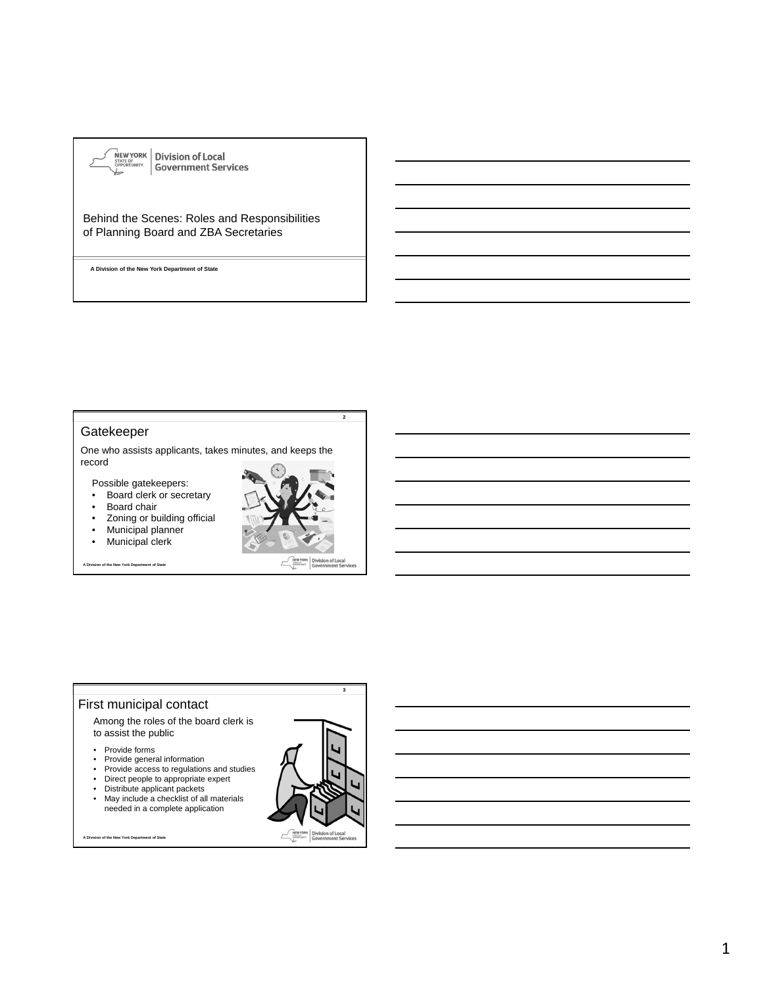

### Behind the Scenes: Roles and Responsibilities of Planning Board and ZBA Secretaries

**A Division of the New York Department of State**

#### Gatekeeper

One who assists applicants, takes minutes, and keeps the record

Possible gatekeepers:

- Board clerk or secretary
- Board chair
- Zoning or building official
- Municipal planner
- Municipal clerk

**A Division of the New York Department of State**



Division of Local<br>Government Ser

**2**

# First municipal contact

Among the roles of the board clerk is to assist the public

- Provide forms
- 
- Provide general information Provide access to regulations and studies
- Direct people to appropriate expert • Distribute applicant packets
- May include a checklist of all materials
- needed in a complete application

**A Division of the New York Department of State**

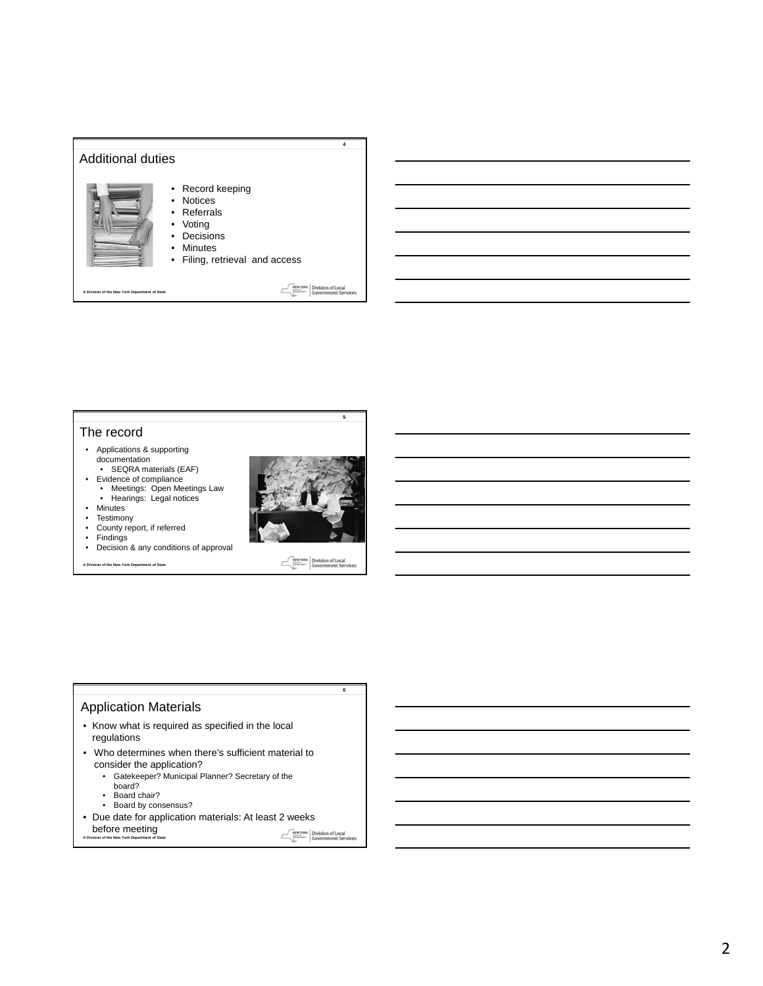

#### The record

- Applications & supporting documentation
- SEQRA materials (EAF) • Evidence of compliance
- Meetings: Open Meetings Law Hearings: Legal notices



- Testimony
- County report, if referred
- 
- Findings Decision & any conditions of approval

**A Division of the New York Department of State**



NEWYORK Division of Local<br>
Sovernment Services

**6**

**5**

## Application Materials

- Know what is required as specified in the local regulations
- Who determines when there's sufficient material to consider the application?
	- Gatekeeper? Municipal Planner? Secretary of the
		- board?
	- Board chair?
	- Board by consensus?
- Due date for application materials: At least 2 weeks

```
before meeting<br>A Division of the New York Department of State
```
NEWYORK Division of Local<br>
Sovernment Services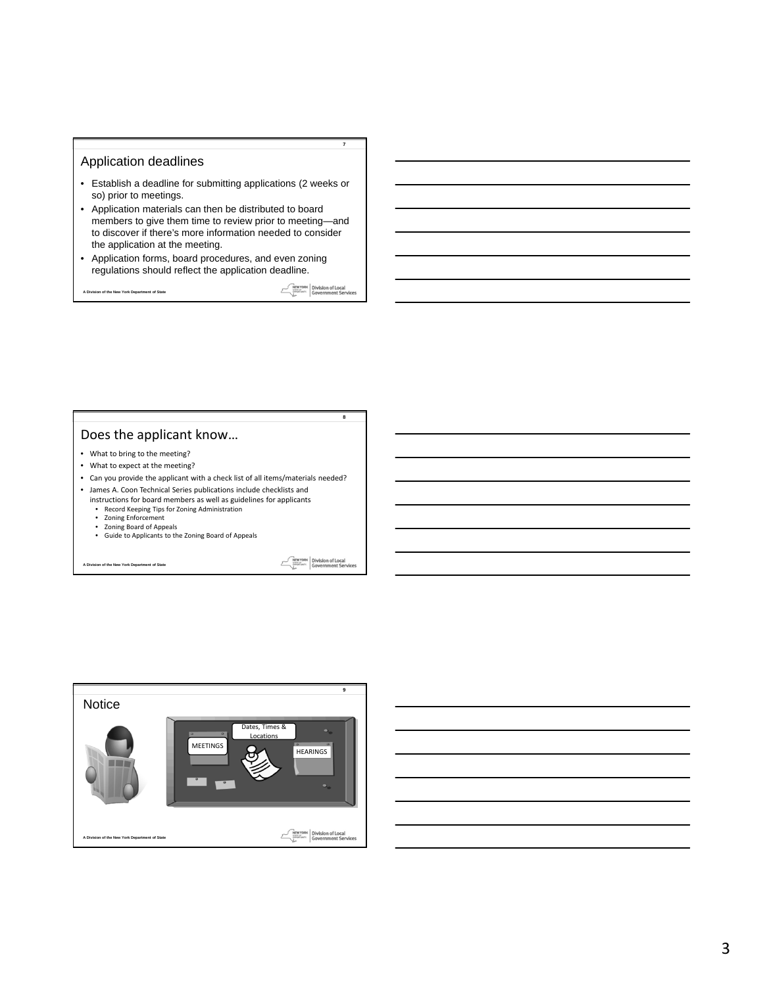#### Application deadlines

- Establish a deadline for submitting applications (2 weeks or so) prior to meetings.
- Application materials can then be distributed to board members to give them time to review prior to meeting—and to discover if there's more information needed to consider the application at the meeting.
- Application forms, board procedures, and even zoning regulations should reflect the application deadline.

**A Division of the New York Department of State**

**Example 2018**<br> **CONSTRANT CONFIDENT SERVICES** 

**8**

**7**

## Does the applicant know…

- What to bring to the meeting?
- What to expect at the meeting?
- Can you provide the applicant with a check list of all items/materials needed?
- James A. Coon Technical Series publications include checklists and
	- instructions for board members as well as guidelines for applicants
	- Record Keeping Tips for Zoning Administration Zoning Enforcement
	- Zoning Board of Appeals
	- Guide to Applicants to the Zoning Board of Appeals

**A Division of the New York Department of State**

**MENTORK** Division of Local



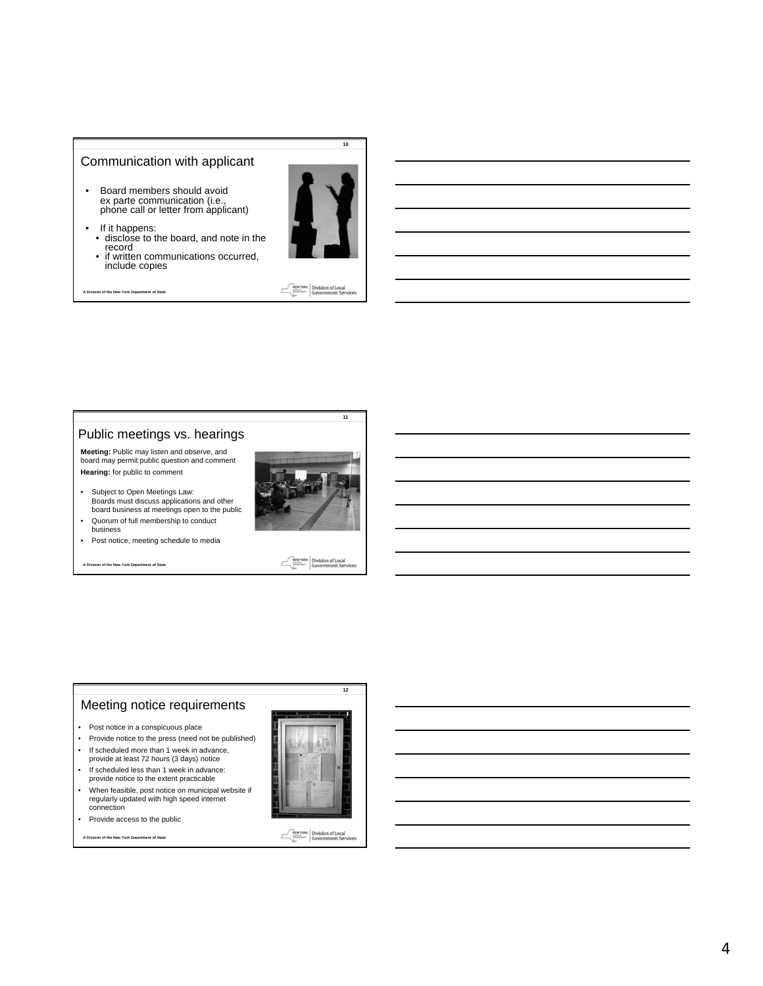#### Communication with applicant

- Board members should avoid ex parte communication (i.e., phone call or letter from applicant)
- If it happens: disclose to the board, and note in the record • if written communications occurred,
	- include copies

**A Division of the New York Department of State**



**10**

**MEWYORK** Division of Local<br>Biography: Government Services

**11**

#### Public meetings vs. hearings

**Meeting:** Public may listen and observe, and board may permit public question and comment **Hearing:** for public to comment

- Subject to Open Meetings Law: Boards must discuss applications and other board business at meetings open to the public
- Quorum of full membership to conduct business
- Post notice, meeting schedule to media

**A Division of the New York Department of State**



**MEWYORK** Division of Local

## Meeting notice requirements

- Post notice in a conspicuous place
- Provide notice to the press (need not be published)
- If scheduled more than 1 week in advance, provide at least 72 hours (3 days) notice
- If scheduled less than 1 week in advance: provide notice to the extent practicable
- When feasible, post notice on municipal website if regularly updated with high speed internet connection
- Provide access to the public

**A Division of the New York Department of State**



**12**

NEW YORK Division of Local<br>
Sovernment Services

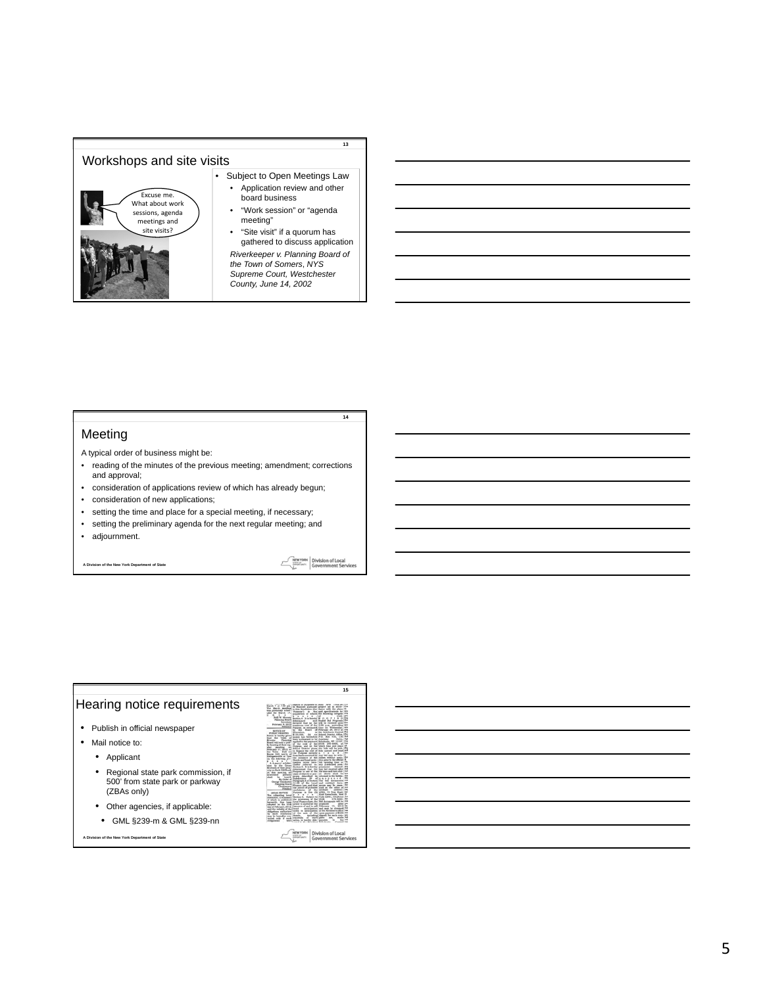

#### Meeting

A typical order of business might be:

- reading of the minutes of the previous meeting; amendment; corrections and approval;
- consideration of applications review of which has already begun;
- consideration of new applications;
- setting the time and place for a special meeting, if necessary;
- setting the preliminary agenda for the next regular meeting; and
- adjournment.

**A Division of the New York Department of State**

**NEW YORK** Division of Local<br>Simple Represent Services

 $\mathcal{E}$ 

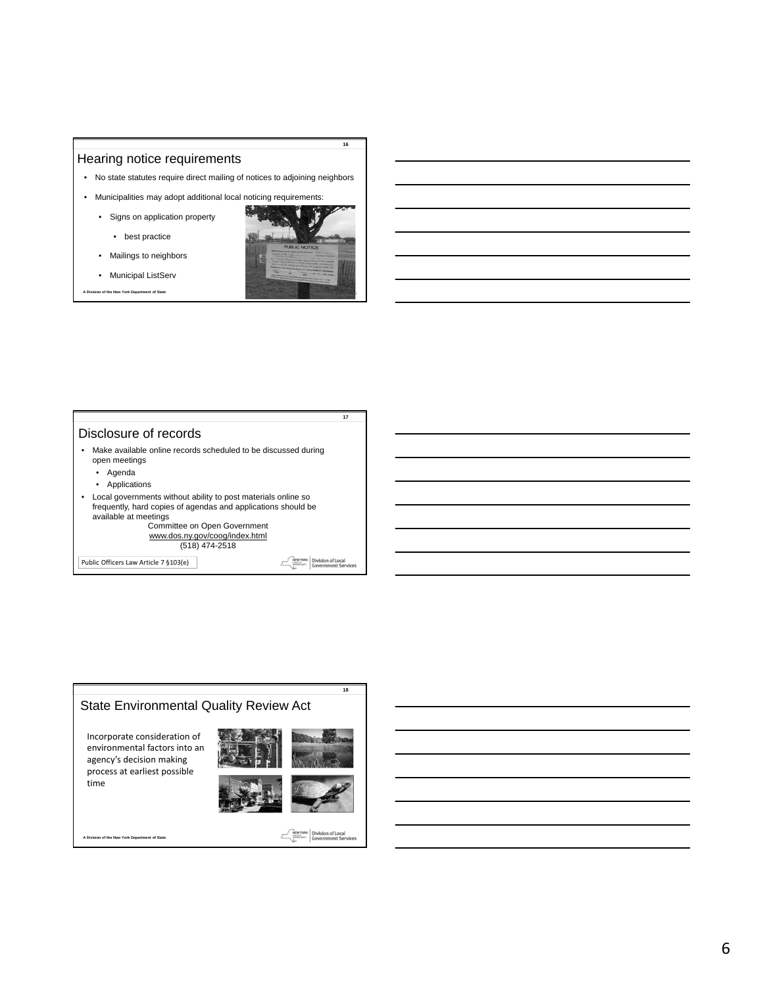#### Hearing notice requirements

- No state statutes require direct mailing of notices to adjoining neighbors
- Municipalities may adopt additional local noticing requirements:
	- Signs on application property
		- best practice



**16**

- Mailings to neighbors • Municipal ListServ
- **A Division of the New York Department of State**

#### Disclosure of records

- Make available online records scheduled to be discussed during open meetings
	- Agenda
	- Applications
- Local governments without ability to post materials online so frequently, hard copies of agendas and applications should be available at meetings Committee on Open Government

www.dos.ny.gov/coog/index.html (518) 474-2518

Public Officers Law Article 7 §103(e)

**MEWYORK** Division of Local<br> **Government Services** 

 $\mathcal{E}$ 

**17**

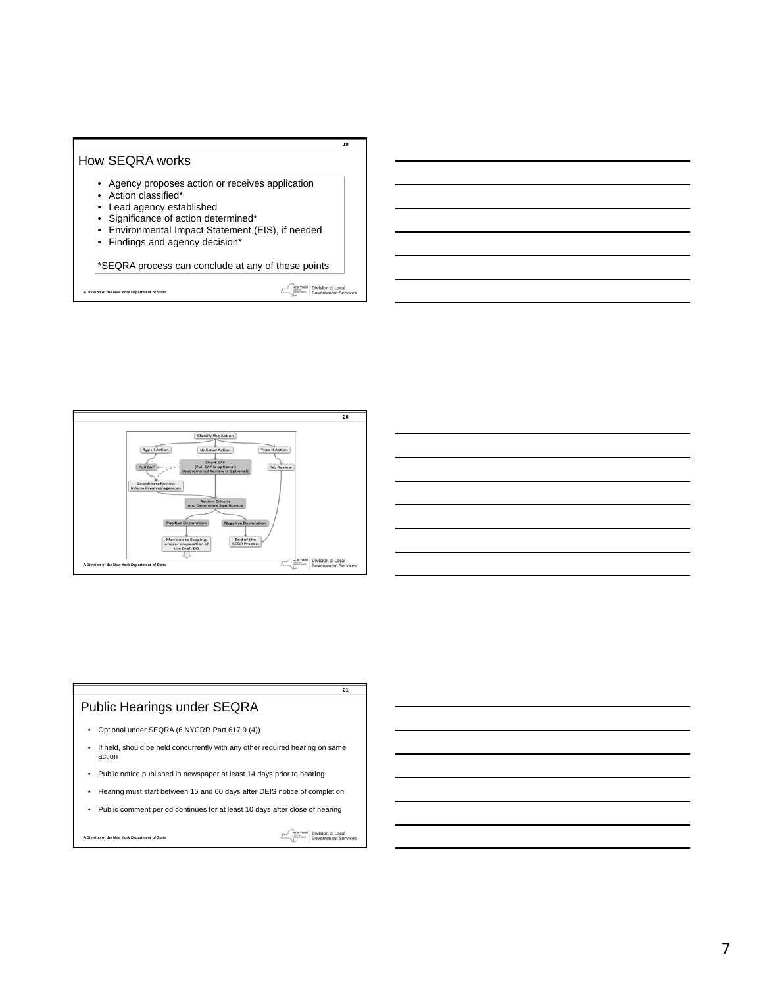



# Public Hearings under SEQRA

- Optional under SEQRA (6 NYCRR Part 617.9 (4))
- If held, should be held concurrently with any other required hearing on same action
- Public notice published in newspaper at least 14 days prior to hearing
- Hearing must start between 15 and 60 days after DEIS notice of completion
- Public comment period continues for at least 10 days after close of hearing

**A Division of the New York Department of State**

NEWYORK Division of Local<br>
Sovernment Services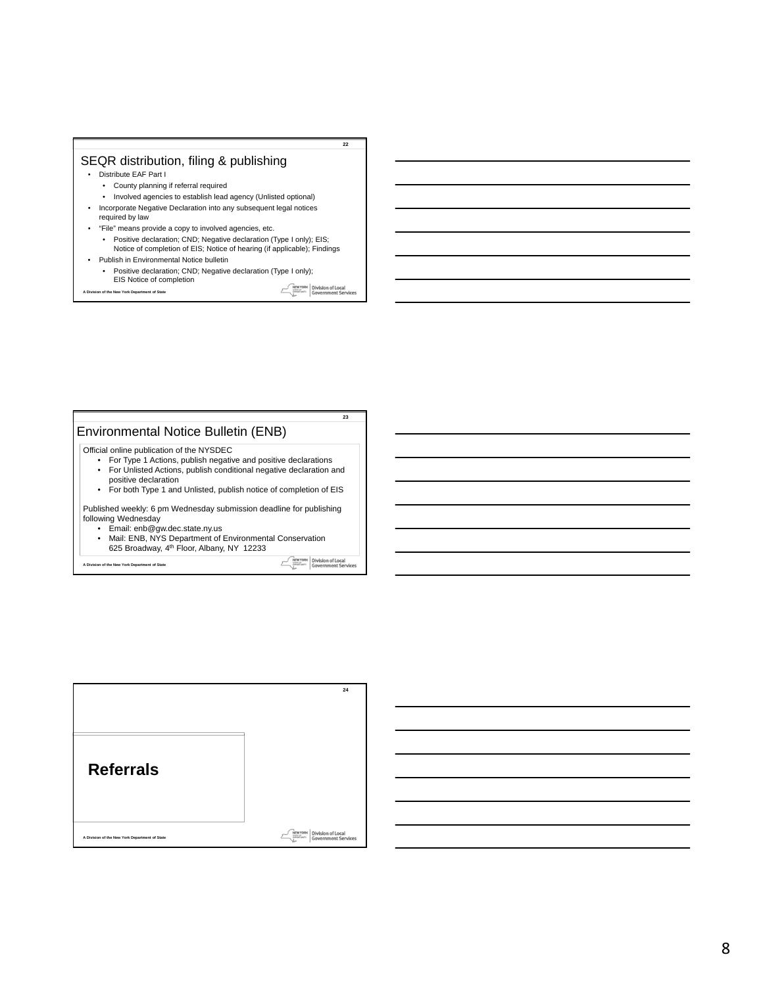# SEQR distribution, filing & publishing

- Distribute EAF Part I
	- County planning if referral required
	- Involved agencies to establish lead agency (Unlisted optional)
- Incorporate Negative Declaration into any subsequent legal notices required by law
- "File" means provide a copy to involved agencies, etc.
- Positive declaration; CND; Negative declaration (Type I only); EIS; Notice of completion of EIS; Notice of hearing (if applicable); Findings • Publish in Environmental Notice bulletin
	- Positive declaration; CND; Negative declaration (Type I only); EIS Notice of completion

**A Division of the New York Department of State**

**MEWYORK** Division of Local

**22**

#### **23** Environmental Notice Bulletin (ENB) Official online publication of the NYSDEC • For Type 1 Actions, publish negative and positive declarations • For Unlisted Actions, publish conditional negative declaration and positive declaration • For both Type 1 and Unlisted, publish notice of completion of EIS Published weekly: 6 pm Wednesday submission deadline for publishing following Wednesday • Email: enb@gw.dec.state.ny.us • Mail: ENB, NYS Department of Environmental Conservation 625 Broadway, 4th Floor, Albany, NY 12233 **MEWYORK** Division of Local<br> **COVERTING COVERTIER SERVICES**

**A Division of the New York Department of State**

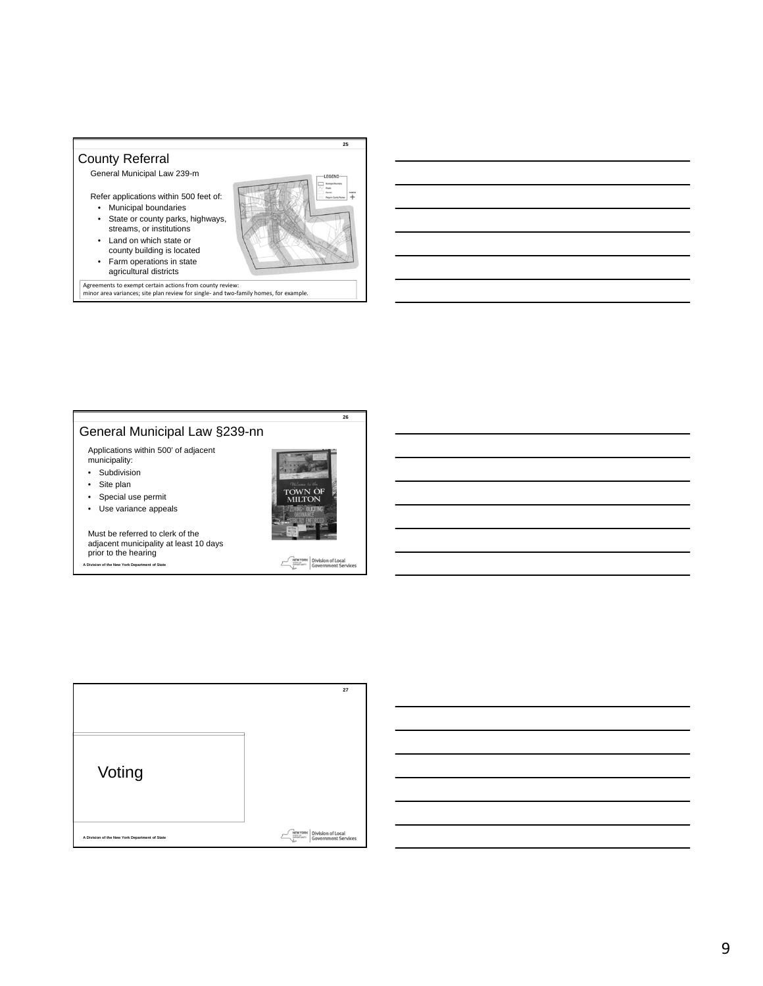



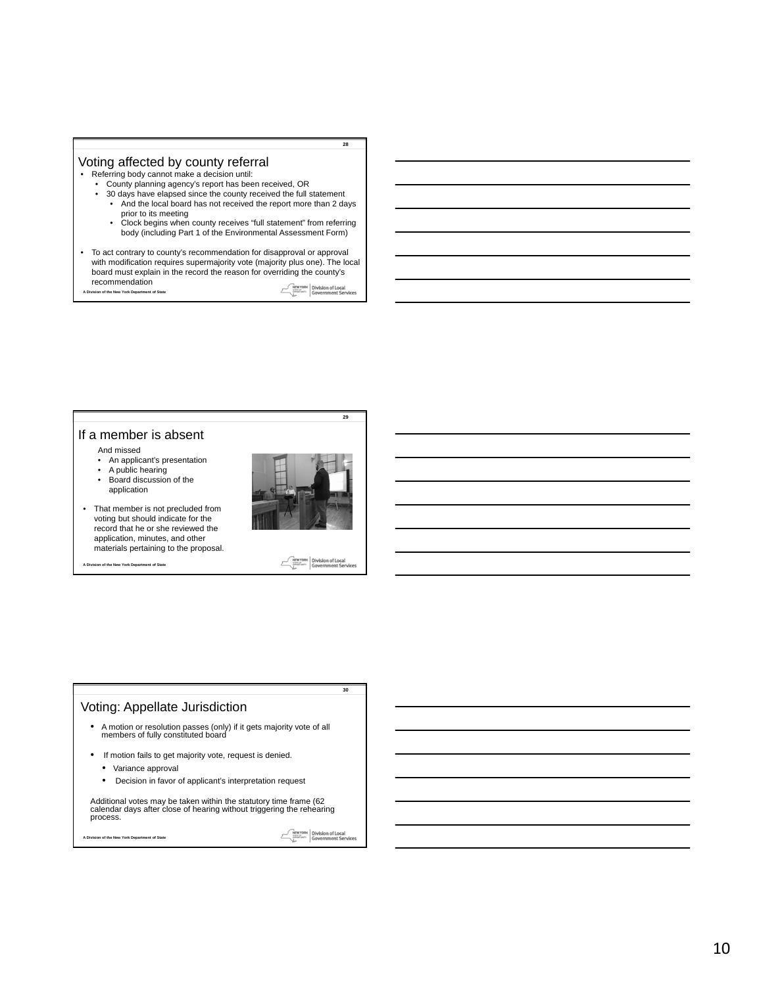# Voting affected by county referral

- Referring body cannot make a decision until:
	- County planning agency's report has been received, OR<br>• 30 days have elapsed since the county received the full s
		- 30 days have elapsed since the county received the full statement • And the local board has not received the report more than 2 days
		- prior to its meeting Clock begins when county receives "full statement" from referring body (including Part 1 of the Environmental Assessment Form)
- To act contrary to county's recommendation for disapproval or approval with modification requires supermajority vote (majority plus one). The local board must explain in the record the reason for overriding the county's recommendation **MEWYORK** Division of Local **A Division of the New York Department of State**

If a member is absent

- And missed
- An applicant's presentation
- A public hearing • Board discussion of the

application





**A Division of the New York Department of State**



**30**

**28**

**29**

#### Voting: Appellate Jurisdiction

- A motion or resolution passes (only) if it gets majority vote of all members of fully constituted board
- If motion fails to get majority vote, request is denied.
	- Variance approval
	- Decision in favor of applicant's interpretation request

Additional votes may be taken within the statutory time frame (62 calendar days after close of hearing without triggering the rehearing process.

**A Division of the New York Department of State**

NEW YORK Division of Local<br>
Sovernment Services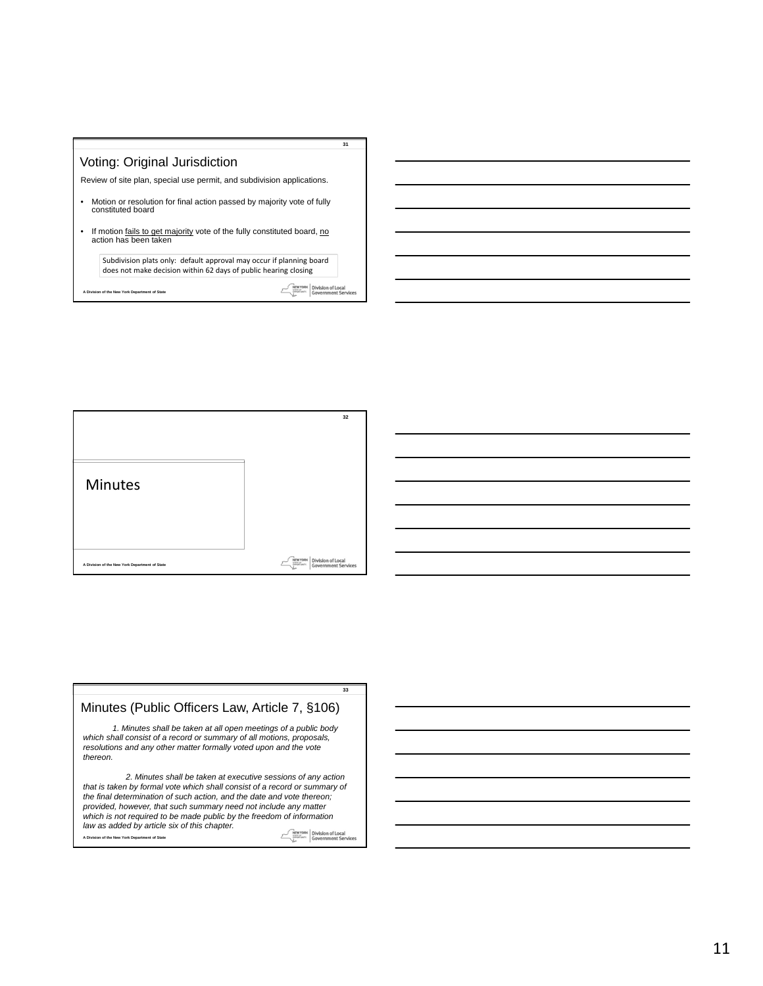



*1. Minutes shall be taken at all open meetings of a public body which shall consist of a record or summary of all motions, proposals, resolutions and any other matter formally voted upon and the vote thereon. 2. Minutes shall be taken at executive sessions of any action that is taken by formal vote which shall consist of a record or summary of the final determination of such action, and the date and vote thereon; provided, however, that such summary need not include any matter which is not required to be made public by the freedom of information*  Minutes (Public Officers Law, Article 7, §106)

**33**

*law as added by article six of this chapter.*  NEW YORK Division of Local<br>
Sovernment Services **A Division of the New York Department of State**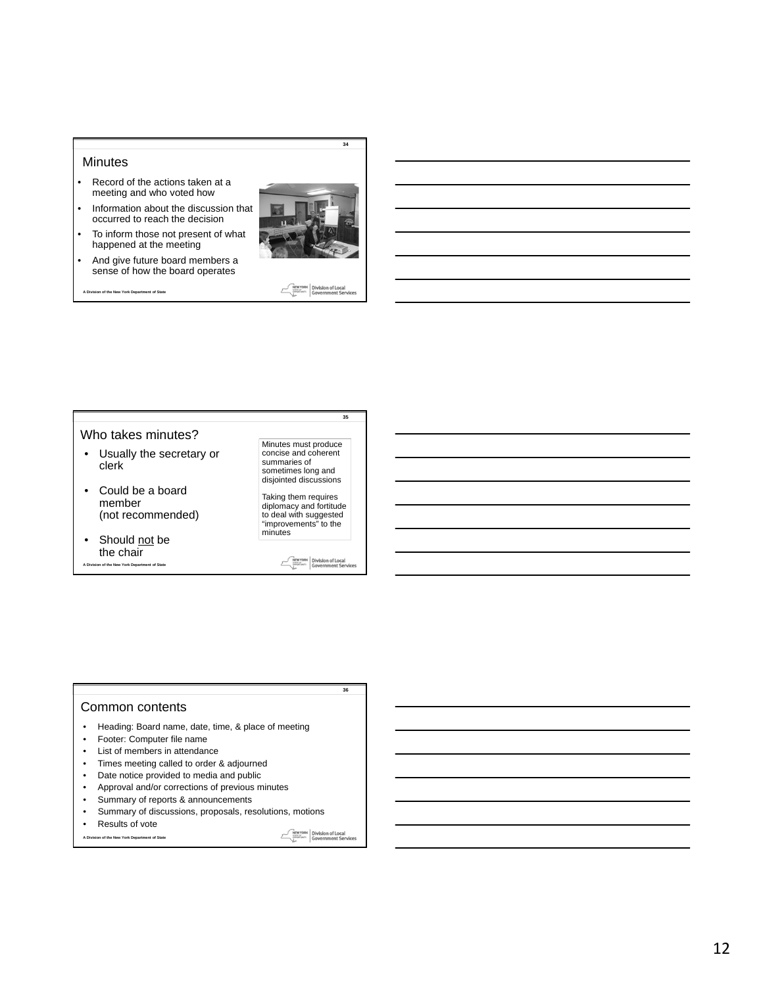#### **Minutes**

- Record of the actions taken at a meeting and who voted how
- Information about the discussion that occurred to reach the decision
- To inform those not present of what happened at the meeting
- And give future board members a sense of how the board operates

**A Division of the New York Department of State**



**MEW YORK** Division of Local

**34**

#### **35** Who takes minutes? Minutes must produce • Usually the secretary or concise and coherent clerk summaries of sometimes long and disjointed discussions • Could be a board Taking them requires diplomacy and fortitude to deal with suggested "improvements" to the member (not recommended) minutes • Should not be the chair **MEWYORK** Division of Local **A Division of the New York Department of State**  $\mathcal{E}$

**36**

#### Common contents

- Heading: Board name, date, time, & place of meeting
- Footer: Computer file name
- List of members in attendance
- Times meeting called to order & adjourned
- Date notice provided to media and public
- Approval and/or corrections of previous minutes
- Summary of reports & announcements
- Summary of discussions, proposals, resolutions, motions
- **A Division of the New York Department of State** • Results of vote

NEW YORK Division of Local<br>
Sovernment Services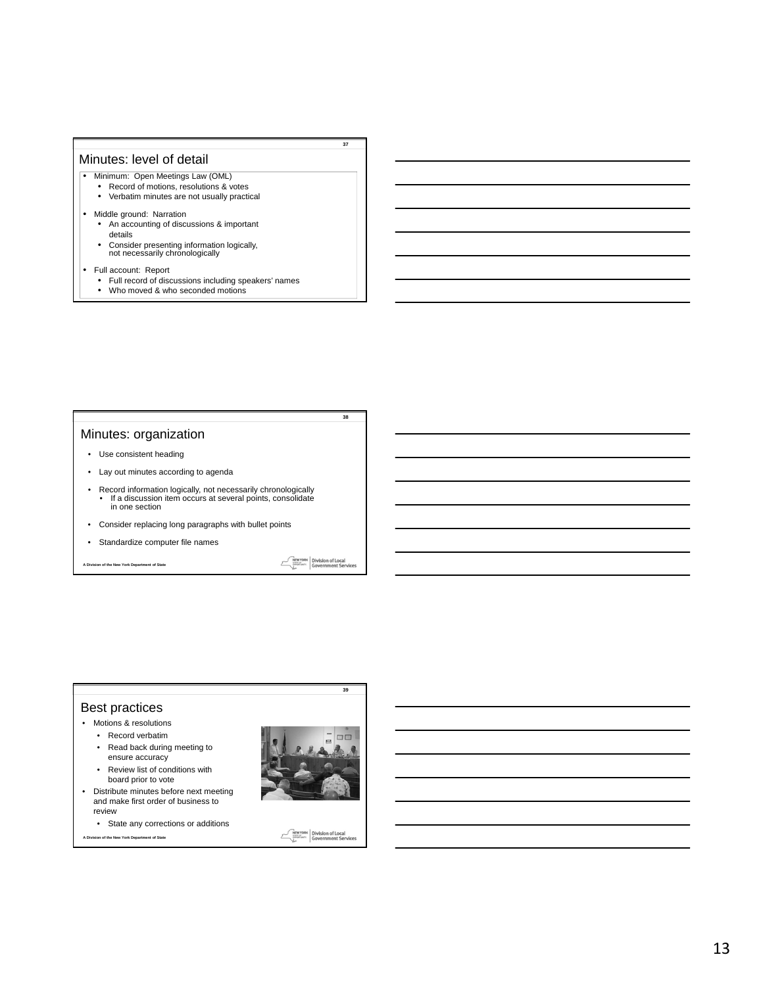#### Minutes: level of detail

- Minimum: Open Meetings Law (OML)
	- Record of motions, resolutions & votes
	- Verbatim minutes are not usually practical
- Middle ground: Narration
	- An accounting of discussions & important details
	- Consider presenting information logically, not necessarily chronologically
- Full account: Report
	- Full record of discussions including speakers' names
- Who moved & who seconded motions

# Minutes: organization

- Use consistent heading
- Lay out minutes according to agenda
- Record information logically, not necessarily chronologically • If a discussion item occurs at several points, consolidate in one section
- Consider replacing long paragraphs with bullet points
- Standardize computer file names

**A Division of the New York Department of State**

**MEWYORK** Division of Local

 $\mathcal{F}_{\mathcal{L}}$ 

**39**

**37**

**38**

# Best practices

- Motions & resolutions
	- Record verbatim • Read back during meeting to
	- ensure accuracy • Review list of conditions with
- board prior to vote • Distribute minutes before next meeting
- and make first order of business to review
	- State any corrections or additions

**A Division of the New York Department of State**



NEWYORK Division of Local<br>Examples Government Services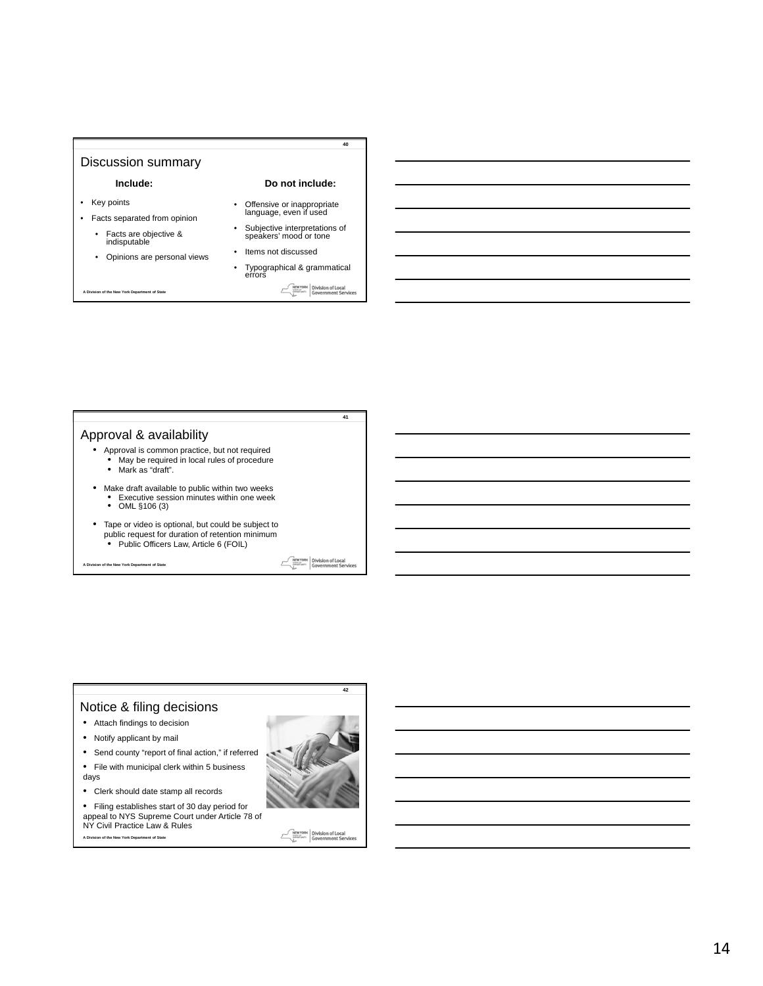### Discussion summary

#### **Include:**

**A Division of the New York Department of State**

- Key points
- Facts separated from opinion • Facts are objective & indisputable

• Opinions are personal views

- Offensive or inappropriate language, even if used
- Subjective interpretations of speakers' mood or tone
- Items not discussed
	- Typographical & grammatical errors **MEWYORK** Division of Local

**Do not include:**

**40**

**41**

Approval & availability

- Approval is common practice, but not required • May be required in local rules of procedure • Mark as "draft".
	-
- Make draft available to public within two weeks Executive session minutes within one week OML §106 (3)
	-
- Tape or video is optional, but could be subject to public request for duration of retention minimum • Public Officers Law, Article 6 (FOIL)

**A Division of the New York Department of State**

Division of Local<br>Government Serv NEW YORK



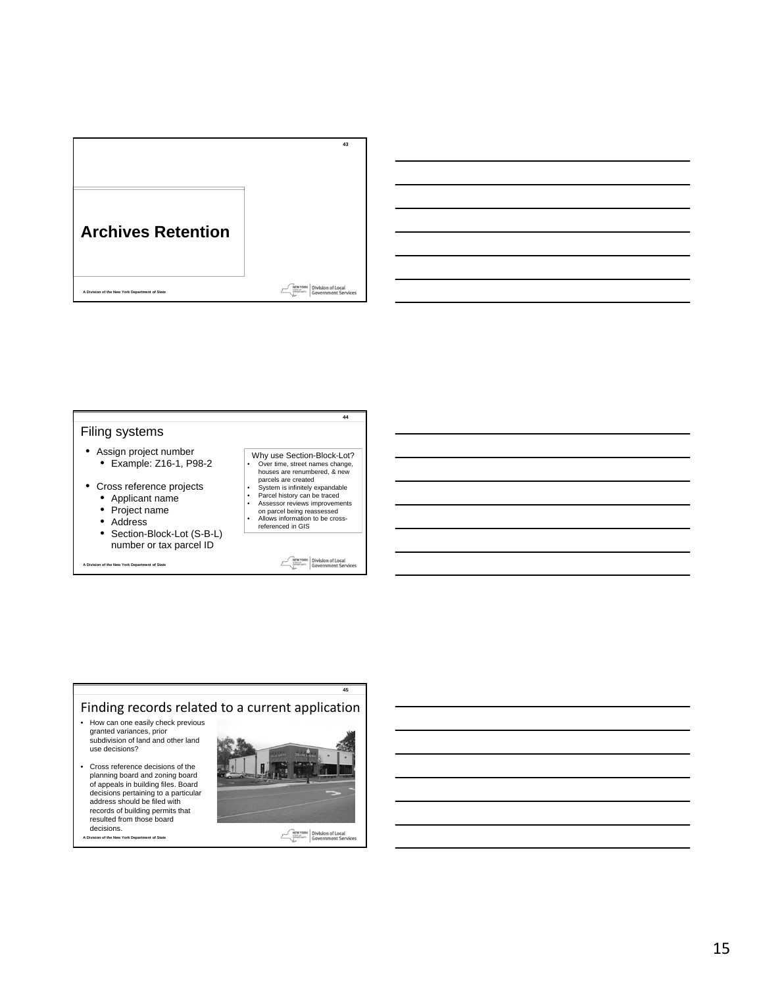



- 
- Address<br>• Section-
- Section-Block-Lot (S-B-L) number or tax parcel ID

**A Division of the New York Department of State**

- 
- 
- on parcel being reassessed Allows information to be cross-referenced in GIS

NEWYORK Division of Local<br>Since Street, Government Services

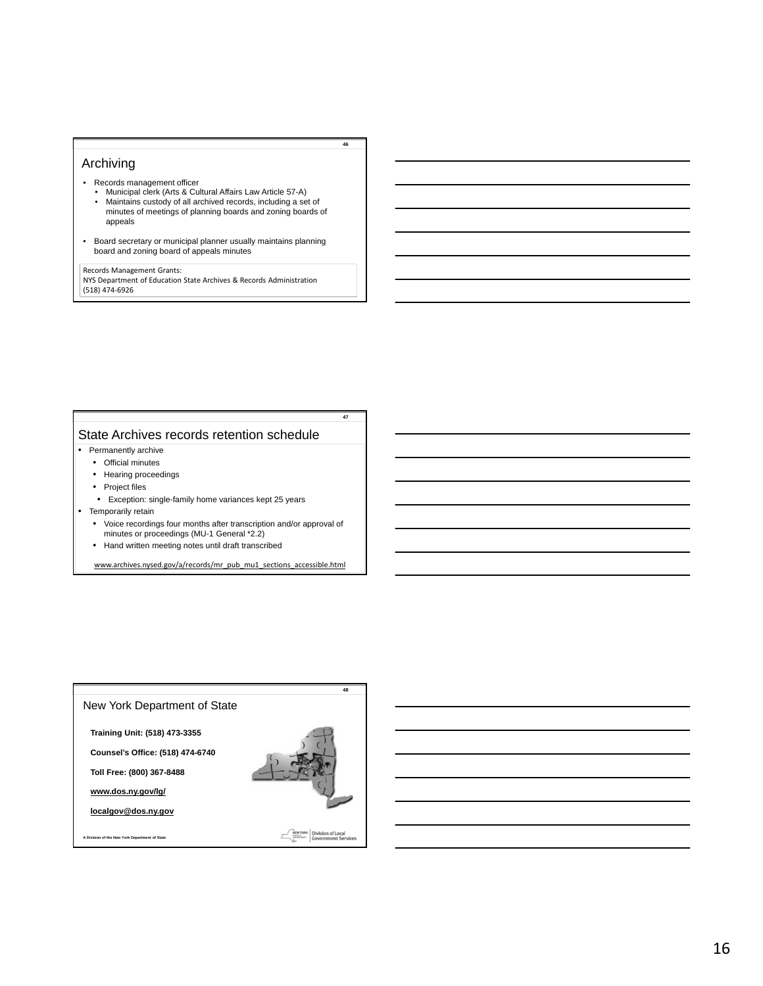#### Archiving

- Records management officer
	- Municipal clerk (Arts & Cultural Affairs Law Article 57-A)
	- Maintains custody of all archived records, including a set of minutes of meetings of planning boards and zoning boards of appeals

**46**

**47**

• Board secretary or municipal planner usually maintains planning board and zoning board of appeals minutes

**A Division of the New York Department of State** (518) 474-6926 Records Management Grants: NYS Department of Education State Archives & Records Administration

# State Archives records retention schedule

- Permanently archive
	- Official minutes
	- Hearing proceedings
	- Project files
	- Exception: single-family home variances kept 25 years
- Temporarily retain
	- Voice recordings four months after transcription and/or approval of minutes or proceedings (MU-1 General \*2.2)
	- Hand written meeting notes until draft transcribed

www.archives.nysed.gov/a/records/mr\_pub\_mu1\_sections\_accessible.html

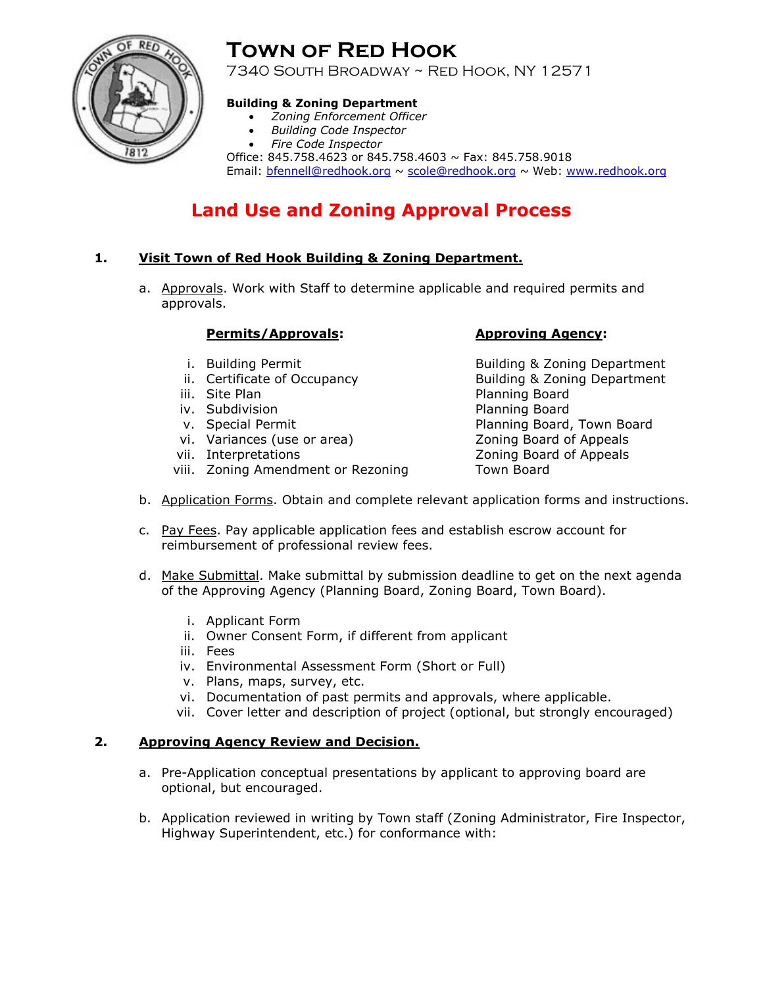

# **Town of Red Hook**

7340 South Broadway ~ Red Hook, NY 12571

# **Building & Zoning Department**

- *Zoning Enforcement Officer*
- *Building Code Inspector*
- *Fire Code Inspector*

Office: 845.758.4623 or 845.758.4603 ~ Fax: 845.758.9018 Email: bfennell@redhook.org ~ scole@redhook.org ~ Web: www.redhook.org

# **Land Use and Zoning Approval Process**

# **1. Visit Town of Red Hook Building & Zoning Department.**

a. Approvals. Work with Staff to determine applicable and required permits and approvals.

# **Permits/Approvals: Approving Agency:**

- 
- 
- 
- iv. Subdivision **Planning Board**
- 
- vi. Variances (use or area) Zoning Board of Appeals
- 
- viii. Zoning Amendment or Rezoning Town Board

i. Building Permit **Building & Zoning Department** ii. Certificate of Occupancy **Building & Zoning Department** iii. Site Plan Planning Board v. Special Permit **Planning Board, Town Board** vii. Interpretations and a set of Appeals and Zoning Board of Appeals

- b. Application Forms. Obtain and complete relevant application forms and instructions.
- c. Pay Fees. Pay applicable application fees and establish escrow account for reimbursement of professional review fees.
- d. Make Submittal. Make submittal by submission deadline to get on the next agenda of the Approving Agency (Planning Board, Zoning Board, Town Board).
	- i. Applicant Form
	- ii. Owner Consent Form, if different from applicant
	- iii. Fees
	- iv. Environmental Assessment Form (Short or Full)
	- v. Plans, maps, survey, etc.
	- vi. Documentation of past permits and approvals, where applicable.
	- vii. Cover letter and description of project (optional, but strongly encouraged)

# **2. Approving Agency Review and Decision.**

- a. Pre-Application conceptual presentations by applicant to approving board are optional, but encouraged.
- b. Application reviewed in writing by Town staff (Zoning Administrator, Fire Inspector, Highway Superintendent, etc.) for conformance with: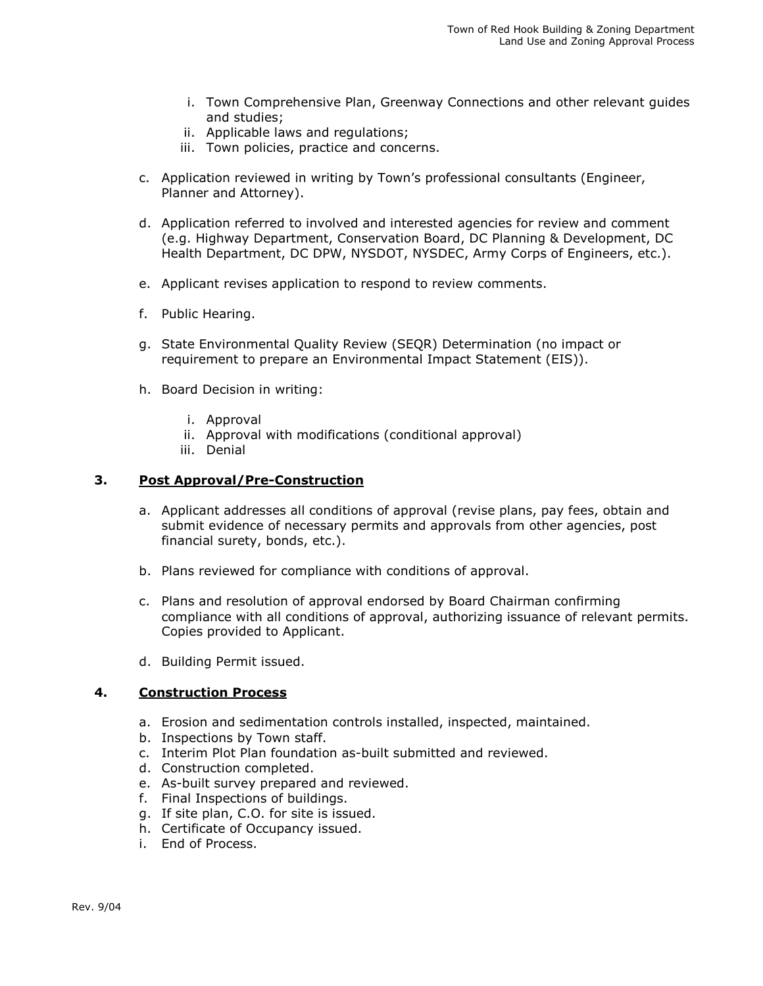- i. Town Comprehensive Plan, Greenway Connections and other relevant guides and studies;
- ii. Applicable laws and regulations;
- iii. Town policies, practice and concerns.
- c. Application reviewed in writing by Town's professional consultants (Engineer, Planner and Attorney).
- d. Application referred to involved and interested agencies for review and comment (e.g. Highway Department, Conservation Board, DC Planning & Development, DC Health Department, DC DPW, NYSDOT, NYSDEC, Army Corps of Engineers, etc.).
- e. Applicant revises application to respond to review comments.
- f. Public Hearing.
- g. State Environmental Quality Review (SEQR) Determination (no impact or requirement to prepare an Environmental Impact Statement (EIS)).
- h. Board Decision in writing:
	- i. Approval
	- ii. Approval with modifications (conditional approval)
	- iii. Denial

# **3. Post Approval/Pre-Construction**

- a. Applicant addresses all conditions of approval (revise plans, pay fees, obtain and submit evidence of necessary permits and approvals from other agencies, post financial surety, bonds, etc.).
- b. Plans reviewed for compliance with conditions of approval.
- c. Plans and resolution of approval endorsed by Board Chairman confirming compliance with all conditions of approval, authorizing issuance of relevant permits. Copies provided to Applicant.
- d. Building Permit issued.

# **4. Construction Process**

- a. Erosion and sedimentation controls installed, inspected, maintained.
- b. Inspections by Town staff.
- c. Interim Plot Plan foundation as-built submitted and reviewed.
- d. Construction completed.
- e. As-built survey prepared and reviewed.
- f. Final Inspections of buildings.
- g. If site plan, C.O. for site is issued.
- h. Certificate of Occupancy issued.
- i. End of Process.